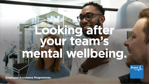

![](_page_0_Picture_2.jpeg)

### **Employee Assistance Programmes.**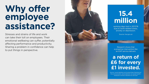# **Why offer employee assistance?**

Stresses and strains of life and work can take their toll on employees. Their emotional wellbeing can suffer, potentially affecting performance and productivity. Sharing a problem in confidence can help to put things in perspective.

![](_page_1_Picture_2.jpeg)

# **15.4 million**

working days lost in 2017/18 due to work-related stress, anxiety or depression.

Source: hse.gov.uk

Research shows that a proactive intervention like an EAP service delivers

# **a return of £6 for every £1 invested.**

Source: [www2.deloitte.com/content/dam/Deloitte/uk](https://www2.deloitte.com/content/dam/Deloitte/uk)/ Documents/public-sector/deloitte-uk-mental-health employers-monitor-deloitte-oct-2017.pdf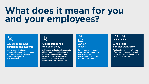# **What does it mean for you and your employees?**

![](_page_2_Picture_1.jpeg)

### Access to trained **A Concess 1 and A Domine support is** A healthier, **clinicians and experts and experts the click away clinicians and experts the clinicians and experts the click away**

![](_page_2_Picture_4.jpeg)

and treatment. The state of the state of the Behavioural Therapy (cCBT) and treatment. The organisation. Our trained clinicians can Self-assess online to gain access to **Earlier access to mental Feel confident that we'll look** provide a listening ear and guide either Emotional Wellbeing Online health support could have after your employees' mental your employees to the most **the most** for help coping with day-to-day a positive impact on health and wellbeing and help appropriate support and life or computerised Cognitive absence and productivity absence and productivity them feel supported. supported by a Bupa therapist.

![](_page_2_Picture_7.jpeg)

![](_page_2_Picture_10.jpeg)

![](_page_2_Picture_11.jpeg)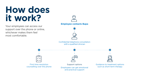# **How does it work?**

![](_page_3_Picture_9.jpeg)

![](_page_3_Picture_10.jpeg)

![](_page_3_Picture_11.jpeg)

![](_page_3_Picture_12.jpeg)

![](_page_3_Picture_13.jpeg)

First time resolution Support options Guidance to treatment options counselling over the phone and such as short-term therapy such as short-term therapy

![](_page_3_Picture_16.jpeg)

Your employees can access our support over the phone or online, whichever makes them feel most comfortable.

![](_page_3_Picture_2.jpeg)

Confidential telephone consultation with a qualified clinician

 $\sqrt{}$  $\times$   $-$ 

and practical support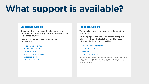![](_page_4_Picture_9.jpeg)

### **Emotional support**

If your employees are experiencing something that's causing them stress, worry or upset, they can speak to a trained counsellor.

- relationship worries
- difficulties at work
- bereavement
- anxiety and depression
- addiction and substance abuse

Here are just some of the problems they can help with:

> †Information only services. Legal and fnancial specialist helplines will only provide factual information and signposting to help you make an informed decision and cannot provide regulated advice which would need to be sourced separately.

![](_page_4_Picture_23.jpeg)

### **Practical support**

The helpline can also support with the practical side of life.

Your employees can speak to a team of experts who'll give them the facts they need to make informed decisions on things like:

- money management†
- landlord disputes
- divorce
- consumer rights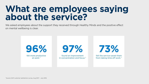![](_page_5_Picture_8.jpeg)

![](_page_5_Picture_9.jpeg)

![](_page_5_Picture_10.jpeg)

![](_page_5_Picture_12.jpeg)

# **about the service?**

![](_page_5_Picture_6.jpeg)

felt more productive **found an improvement** felt the service saved them at work.<sup>^</sup> in concentration and focus.<sup>^</sup> from taking time off work.<sup>^</sup>

![](_page_5_Picture_0.jpeg)

## We asked employees about the support they received through Healthy Minds and the positive effect on mental wellbeing is clear.

![](_page_5_Picture_2.jpeg)

^Source: EAP customer satisfaction survey, Aug 2017 – July 2018.